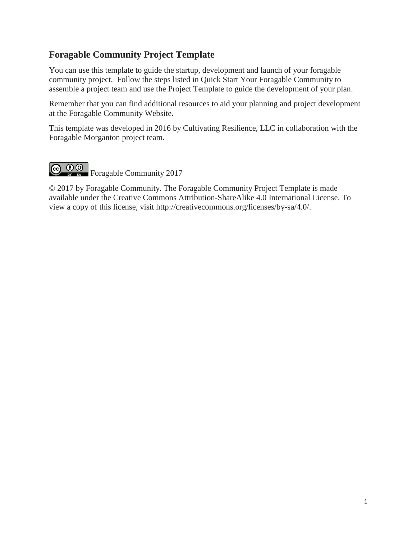# **Foragable Community Project Template**

You can use this template to guide the startup, development and launch of your foragable community project. Follow the steps listed in Quick Start Your Foragable Community to assemble a project team and use the Project Template to guide the development of your plan.

Remember that you can find additional resources to aid your planning and project development at the Foragable Community Website.

This template was developed in 2016 by Cultivating Resilience, LLC in collaboration with the Foragable Morganton project team.



© 2017 by Foragable Community. The Foragable Community Project Template is made available under the Creative Commons Attribution-ShareAlike 4.0 International License. To view a copy of this license, visit http://creativecommons.org/licenses/by-sa/4.0/.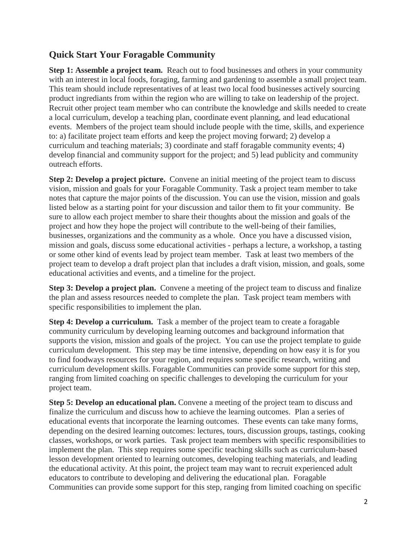# **Quick Start Your Foragable Community**

**Step 1: Assemble a project team.** Reach out to food businesses and others in your community with an interest in local foods, foraging, farming and gardening to assemble a small project team. This team should include representatives of at least two local food businesses actively sourcing product ingrediants from within the region who are willing to take on leadership of the project. Recruit other project team member who can contribute the knowledge and skills needed to create a local curriculum, develop a teaching plan, coordinate event planning, and lead educational events. Members of the project team should include people with the time, skills, and experience to: a) facilitate project team efforts and keep the project moving forward; 2) develop a curriculum and teaching materials; 3) coordinate and staff foragable community events; 4) develop financial and community support for the project; and 5) lead publicity and community outreach efforts.

**Step 2: Develop a project picture.** Convene an initial meeting of the project team to discuss vision, mission and goals for your Foragable Community. Task a project team member to take notes that capture the major points of the discussion. You can use the vision, mission and goals listed below as a starting point for your discussion and tailor them to fit your community. Be sure to allow each project member to share their thoughts about the mission and goals of the project and how they hope the project will contribute to the well-being of their families, businesses, organizations and the community as a whole. Once you have a discussed vision, mission and goals, discuss some educational activities - perhaps a lecture, a workshop, a tasting or some other kind of events lead by project team member. Task at least two members of the project team to develop a draft project plan that includes a draft vision, mission, and goals, some educational activities and events, and a timeline for the project.

**Step 3: Develop a project plan.** Convene a meeting of the project team to discuss and finalize the plan and assess resources needed to complete the plan. Task project team members with specific responsibilities to implement the plan.

**Step 4: Develop a curriculum.** Task a member of the project team to create a foragable community curriculum by developing learning outcomes and background information that supports the vision, mission and goals of the project. You can use the project template to guide curriculum development. This step may be time intensive, depending on how easy it is for you to find foodways resources for your region, and requires some specific research, writing and curriculum development skills. Foragable Communities can provide some support for this step, ranging from limited coaching on specific challenges to developing the curriculum for your project team.

**Step 5: Develop an educational plan.** Convene a meeting of the project team to discuss and finalize the curriculum and discuss how to achieve the learning outcomes. Plan a series of educational events that incorporate the learning outcomes. These events can take many forms, depending on the desired learning outcomes: lectures, tours, discussion groups, tastings, cooking classes, workshops, or work parties. Task project team members with specific responsibilities to implement the plan. This step requires some specific teaching skills such as curriculum-based lesson development oriented to learning outcomes, developing teaching materials, and leading the educational activity. At this point, the project team may want to recruit experienced adult educators to contribute to developing and delivering the educational plan. Foragable Communities can provide some support for this step, ranging from limited coaching on specific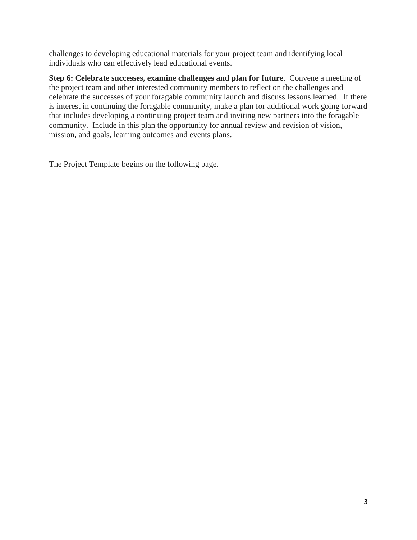challenges to developing educational materials for your project team and identifying local individuals who can effectively lead educational events.

**Step 6: Celebrate successes, examine challenges and plan for future**. Convene a meeting of the project team and other interested community members to reflect on the challenges and celebrate the successes of your foragable community launch and discuss lessons learned. If there is interest in continuing the foragable community, make a plan for additional work going forward that includes developing a continuing project team and inviting new partners into the foragable community. Include in this plan the opportunity for annual review and revision of vision, mission, and goals, learning outcomes and events plans.

The Project Template begins on the following page.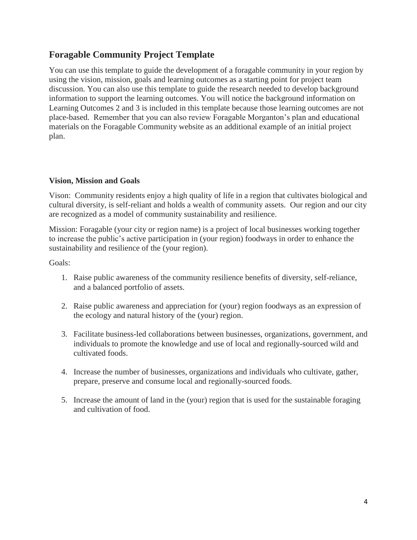# **Foragable Community Project Template**

You can use this template to guide the development of a foragable community in your region by using the vision, mission, goals and learning outcomes as a starting point for project team discussion. You can also use this template to guide the research needed to develop background information to support the learning outcomes. You will notice the background information on Learning Outcomes 2 and 3 is included in this template because those learning outcomes are not place-based. Remember that you can also review Foragable Morganton's plan and educational materials on the Foragable Community website as an additional example of an initial project plan.

### **Vision, Mission and Goals**

Vison: Community residents enjoy a high quality of life in a region that cultivates biological and cultural diversity, is self-reliant and holds a wealth of community assets. Our region and our city are recognized as a model of community sustainability and resilience.

Mission: Foragable (your city or region name) is a project of local businesses working together to increase the public's active participation in (your region) foodways in order to enhance the sustainability and resilience of the (your region).

Goals:

- 1. Raise public awareness of the community resilience benefits of diversity, self-reliance, and a balanced portfolio of assets.
- 2. Raise public awareness and appreciation for (your) region foodways as an expression of the ecology and natural history of the (your) region.
- 3. Facilitate business-led collaborations between businesses, organizations, government, and individuals to promote the knowledge and use of local and regionally-sourced wild and cultivated foods.
- 4. Increase the number of businesses, organizations and individuals who cultivate, gather, prepare, preserve and consume local and regionally-sourced foods.
- 5. Increase the amount of land in the (your) region that is used for the sustainable foraging and cultivation of food.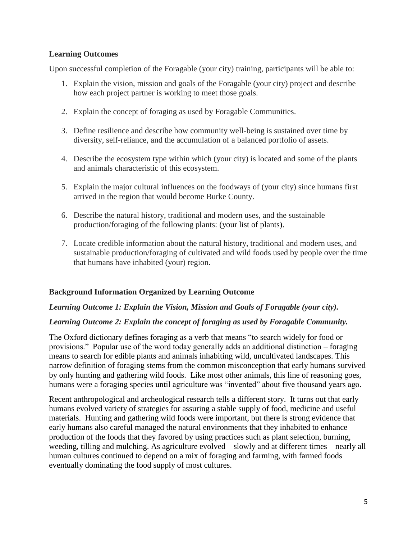## **Learning Outcomes**

Upon successful completion of the Foragable (your city) training, participants will be able to:

- 1. Explain the vision, mission and goals of the Foragable (your city) project and describe how each project partner is working to meet those goals.
- 2. Explain the concept of foraging as used by Foragable Communities.
- 3. Define resilience and describe how community well-being is sustained over time by diversity, self-reliance, and the accumulation of a balanced portfolio of assets.
- 4. Describe the ecosystem type within which (your city) is located and some of the plants and animals characteristic of this ecosystem.
- 5. Explain the major cultural influences on the foodways of (your city) since humans first arrived in the region that would become Burke County.
- 6. Describe the natural history, traditional and modern uses, and the sustainable production/foraging of the following plants: (your list of plants).
- 7. Locate credible information about the natural history, traditional and modern uses, and sustainable production/foraging of cultivated and wild foods used by people over the time that humans have inhabited (your) region.

# **Background Information Organized by Learning Outcome**

#### *Learning Outcome 1: Explain the Vision, Mission and Goals of Foragable (your city).*

# *Learning Outcome 2: Explain the concept of foraging as used by Foragable Community.*

The Oxford dictionary defines foraging as a verb that means "to search widely for food or provisions." Popular use of the word today generally adds an additional distinction – foraging means to search for edible plants and animals inhabiting wild, uncultivated landscapes. This narrow definition of foraging stems from the common misconception that early humans survived by only hunting and gathering wild foods. Like most other animals, this line of reasoning goes, humans were a foraging species until agriculture was "invented" about five thousand years ago.

Recent anthropological and archeological research tells a different story. It turns out that early humans evolved variety of strategies for assuring a stable supply of food, medicine and useful materials. Hunting and gathering wild foods were important, but there is strong evidence that early humans also careful managed the natural environments that they inhabited to enhance production of the foods that they favored by using practices such as plant selection, burning, weeding, tilling and mulching. As agriculture evolved – slowly and at different times – nearly all human cultures continued to depend on a mix of foraging and farming, with farmed foods eventually dominating the food supply of most cultures.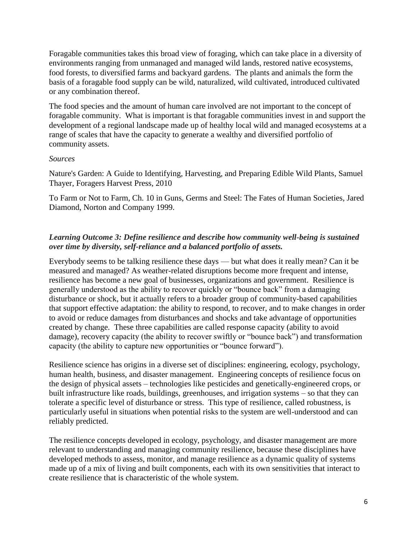Foragable communities takes this broad view of foraging, which can take place in a diversity of environments ranging from unmanaged and managed wild lands, restored native ecosystems, food forests, to diversified farms and backyard gardens. The plants and animals the form the basis of a foragable food supply can be wild, naturalized, wild cultivated, introduced cultivated or any combination thereof.

The food species and the amount of human care involved are not important to the concept of foragable community. What is important is that foragable communities invest in and support the development of a regional landscape made up of healthy local wild and managed ecosystems at a range of scales that have the capacity to generate a wealthy and diversified portfolio of community assets.

#### *Sources*

Nature's Garden: A Guide to Identifying, Harvesting, and Preparing Edible Wild Plants, Samuel Thayer, Foragers Harvest Press, 2010

To Farm or Not to Farm, Ch. 10 in Guns, Germs and Steel: The Fates of Human Societies, Jared Diamond, Norton and Company 1999.

# *Learning Outcome 3: Define resilience and describe how community well-being is sustained over time by diversity, self-reliance and a balanced portfolio of assets.*

Everybody seems to be talking resilience these days — but what does it really mean? Can it be measured and managed? As weather-related disruptions become more frequent and intense, resilience has become a new goal of businesses, organizations and government. Resilience is generally understood as the ability to recover quickly or "bounce back" from a damaging disturbance or shock, but it actually refers to a broader group of community-based capabilities that support effective adaptation: the ability to respond, to recover, and to make changes in order to avoid or reduce damages from disturbances and shocks and take advantage of opportunities created by change. These three capabilities are called response capacity (ability to avoid damage), recovery capacity (the ability to recover swiftly or "bounce back") and transformation capacity (the ability to capture new opportunities or "bounce forward").

Resilience science has origins in a diverse set of disciplines: engineering, ecology, psychology, human health, business, and disaster management. Engineering concepts of resilience focus on the design of physical assets – technologies like pesticides and genetically-engineered crops, or built infrastructure like roads, buildings, greenhouses, and irrigation systems – so that they can tolerate a specific level of disturbance or stress. This type of resilience, called robustness, is particularly useful in situations when potential risks to the system are well-understood and can reliably predicted.

The resilience concepts developed in ecology, psychology, and disaster management are more relevant to understanding and managing community resilience, because these disciplines have developed methods to assess, monitor, and manage resilience as a dynamic quality of systems made up of a mix of living and built components, each with its own sensitivities that interact to create resilience that is characteristic of the whole system.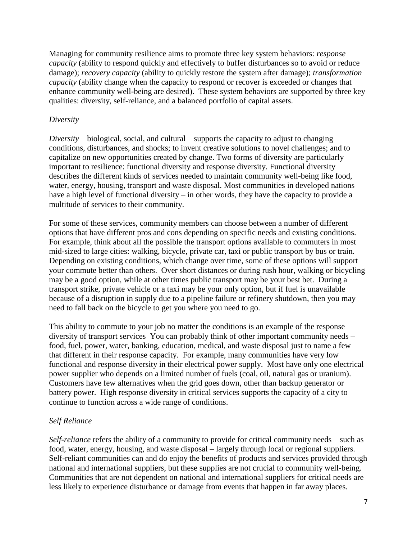Managing for community resilience aims to promote three key system behaviors: *response capacity* (ability to respond quickly and effectively to buffer disturbances so to avoid or reduce damage); *recovery capacity* (ability to quickly restore the system after damage); *transformation capacity* (ability change when the capacity to respond or recover is exceeded or changes that enhance community well-being are desired). These system behaviors are supported by three key qualities: diversity, self-reliance, and a balanced portfolio of capital assets.

## *Diversity*

*Diversity*—biological, social, and cultural—supports the capacity to adjust to changing conditions, disturbances, and shocks; to invent creative solutions to novel challenges; and to capitalize on new opportunities created by change. Two forms of diversity are particularly important to resilience: functional diversity and response diversity. Functional diversity describes the different kinds of services needed to maintain community well-being like food, water, energy, housing, transport and waste disposal. Most communities in developed nations have a high level of functional diversity – in other words, they have the capacity to provide a multitude of services to their community.

For some of these services, community members can choose between a number of different options that have different pros and cons depending on specific needs and existing conditions. For example, think about all the possible the transport options available to commuters in most mid-sized to large cities: walking, bicycle, private car, taxi or public transport by bus or train. Depending on existing conditions, which change over time, some of these options will support your commute better than others. Over short distances or during rush hour, walking or bicycling may be a good option, while at other times public transport may be your best bet. During a transport strike, private vehicle or a taxi may be your only option, but if fuel is unavailable because of a disruption in supply due to a pipeline failure or refinery shutdown, then you may need to fall back on the bicycle to get you where you need to go.

This ability to commute to your job no matter the conditions is an example of the response diversity of transport services You can probably think of other important community needs – food, fuel, power, water, banking, education, medical, and waste disposal just to name a few – that different in their response capacity. For example, many communities have very low functional and response diversity in their electrical power supply. Most have only one electrical power supplier who depends on a limited number of fuels (coal, oil, natural gas or uranium). Customers have few alternatives when the grid goes down, other than backup generator or battery power. High response diversity in critical services supports the capacity of a city to continue to function across a wide range of conditions.

# *Self Reliance*

*Self-reliance* refers the ability of a community to provide for critical community needs – such as food, water, energy, housing, and waste disposal – largely through local or regional suppliers. Self-reliant communities can and do enjoy the benefits of products and services provided through national and international suppliers, but these supplies are not crucial to community well-being. Communities that are not dependent on national and international suppliers for critical needs are less likely to experience disturbance or damage from events that happen in far away places.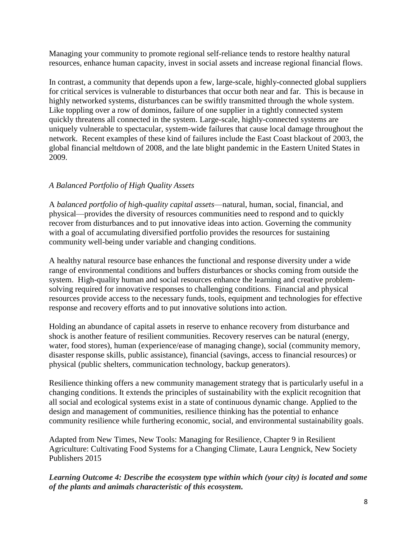Managing your community to promote regional self-reliance tends to restore healthy natural resources, enhance human capacity, invest in social assets and increase regional financial flows.

In contrast, a community that depends upon a few, large-scale, highly-connected global suppliers for critical services is vulnerable to disturbances that occur both near and far. This is because in highly networked systems, disturbances can be swiftly transmitted through the whole system. Like toppling over a row of dominos, failure of one supplier in a tightly connected system quickly threatens all connected in the system. Large-scale, highly-connected systems are uniquely vulnerable to spectacular, system-wide failures that cause local damage throughout the network. Recent examples of these kind of failures include the East Coast blackout of 2003, the global financial meltdown of 2008, and the late blight pandemic in the Eastern United States in 2009.

# *A Balanced Portfolio of High Quality Assets*

A *balanced portfolio of high-quality capital assets*—natural, human, social, financial, and physical—provides the diversity of resources communities need to respond and to quickly recover from disturbances and to put innovative ideas into action. Governing the community with a goal of accumulating diversified portfolio provides the resources for sustaining community well-being under variable and changing conditions.

A healthy natural resource base enhances the functional and response diversity under a wide range of environmental conditions and buffers disturbances or shocks coming from outside the system. High-quality human and social resources enhance the learning and creative problemsolving required for innovative responses to challenging conditions. Financial and physical resources provide access to the necessary funds, tools, equipment and technologies for effective response and recovery efforts and to put innovative solutions into action.

Holding an abundance of capital assets in reserve to enhance recovery from disturbance and shock is another feature of resilient communities. Recovery reserves can be natural (energy, water, food stores), human (experience/ease of managing change), social (community memory, disaster response skills, public assistance), financial (savings, access to financial resources) or physical (public shelters, communication technology, backup generators).

Resilience thinking offers a new community management strategy that is particularly useful in a changing conditions. It extends the principles of sustainability with the explicit recognition that all social and ecological systems exist in a state of continuous dynamic change. Applied to the design and management of communities, resilience thinking has the potential to enhance community resilience while furthering economic, social, and environmental sustainability goals.

Adapted from New Times, New Tools: Managing for Resilience, Chapter 9 in Resilient Agriculture: Cultivating Food Systems for a Changing Climate, Laura Lengnick, New Society Publishers 2015

*Learning Outcome 4: Describe the ecosystem type within which (your city) is located and some of the plants and animals characteristic of this ecosystem.*